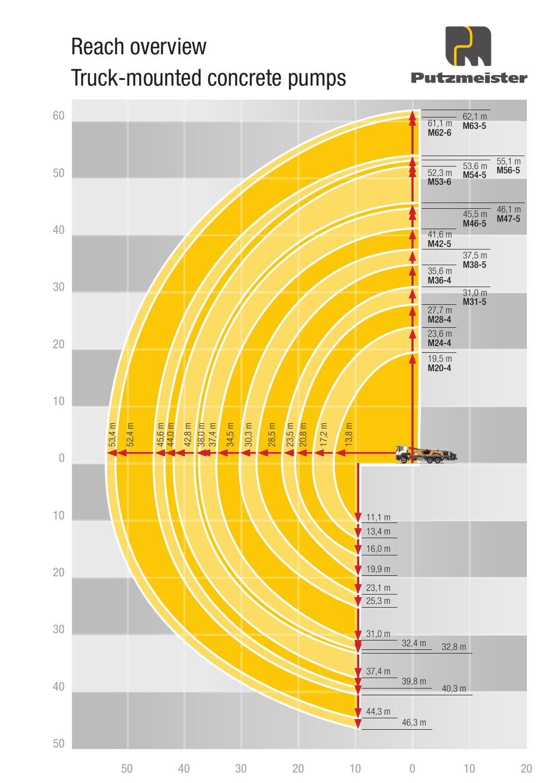## Reach overview Truck-mounted concrete pumps